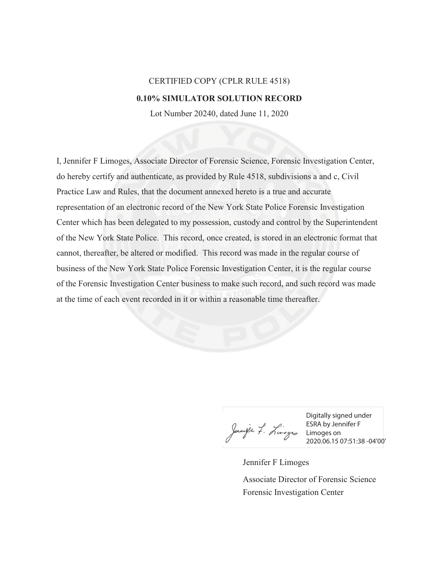## CERTIFIED COPY (CPLR RULE 4518) **0.10% SIMULATOR SOLUTION RECORD**

Lot Number 20240, dated June 11, 2020

I, Jennifer F Limoges, Associate Director of Forensic Science, Forensic Investigation Center, do hereby certify and authenticate, as provided by Rule 4518, subdivisions a and c, Civil Practice Law and Rules, that the document annexed hereto is a true and accurate representation of an electronic record of the New York State Police Forensic Investigation Center which has been delegated to my possession, custody and control by the Superintendent of the New York State Police. This record, once created, is stored in an electronic format that cannot, thereafter, be altered or modified. This record was made in the regular course of business of the New York State Police Forensic Investigation Center, it is the regular course of the Forensic Investigation Center business to make such record, and such record was made at the time of each event recorded in it or within a reasonable time thereafter.

ESRA by Jenneyer f. Limoges on<br>2020.06.150

Digitally signed under ESRA by Jennifer F 2020.06.15 07:51:38 -04'00'

Jennifer F Limoges Forensic Investigation Center Associate Director of Forensic Science